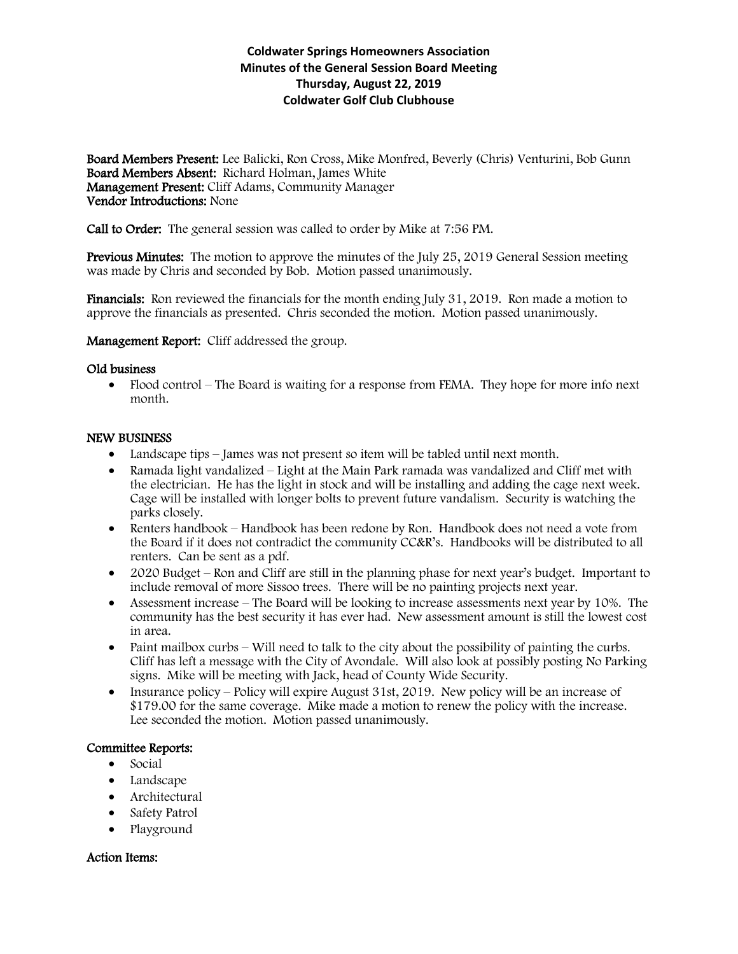# **Coldwater Springs Homeowners Association Minutes of the General Session Board Meeting Thursday, August 22, 2019 Coldwater Golf Club Clubhouse**

Board Members Present: Lee Balicki, Ron Cross, Mike Monfred, Beverly (Chris) Venturini, Bob Gunn Board Members Absent: Richard Holman, James White Management Present: Cliff Adams, Community Manager Vendor Introductions: None

Call to Order: The general session was called to order by Mike at 7:56 PM.

Previous Minutes: The motion to approve the minutes of the July 25, 2019 General Session meeting was made by Chris and seconded by Bob. Motion passed unanimously.

Financials: Ron reviewed the financials for the month ending July 31, 2019. Ron made a motion to approve the financials as presented. Chris seconded the motion. Motion passed unanimously.

Management Report: Cliff addressed the group.

#### Old business

• Flood control – The Board is waiting for a response from FEMA. They hope for more info next month.

#### NEW BUSINESS

- Landscape tips James was not present so item will be tabled until next month.
- Ramada light vandalized Light at the Main Park ramada was vandalized and Cliff met with the electrician. He has the light in stock and will be installing and adding the cage next week. Cage will be installed with longer bolts to prevent future vandalism. Security is watching the parks closely.
- Renters handbook Handbook has been redone by Ron. Handbook does not need a vote from the Board if it does not contradict the community CC&R's. Handbooks will be distributed to all renters. Can be sent as a pdf.
- 2020 Budget Ron and Cliff are still in the planning phase for next year's budget. Important to include removal of more Sissoo trees. There will be no painting projects next year.
- Assessment increase The Board will be looking to increase assessments next year by 10%. The community has the best security it has ever had. New assessment amount is still the lowest cost in area.
- $\bullet$  Paint mailbox curbs Will need to talk to the city about the possibility of painting the curbs. Cliff has left a message with the City of Avondale. Will also look at possibly posting No Parking signs. Mike will be meeting with Jack, head of County Wide Security.
- Insurance policy Policy will expire August 31st, 2019. New policy will be an increase of \$179.00 for the same coverage. Mike made a motion to renew the policy with the increase. Lee seconded the motion. Motion passed unanimously.

## Committee Reports:

- Social
- Landscape
- Architectural
- Safety Patrol
- Playground

## Action Items: